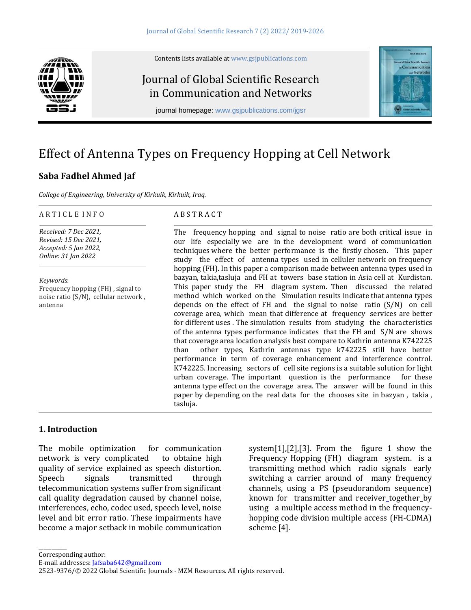Contents lists available a[t www.gsjpublications.com](http://www.gsjpublications.com/)

## Journal of Global Scientific Research in Communication and Networks

journal homepage: [www.gsjpublications.com/](http://www.gsjpublications.com/)jgsr



# Effect of Antenna Types on Frequency Hopping at Cell Network

## **Saba Fadhel Ahmed Jaf**

*College of Engineering, University of Kirkuik, Kirkuik, Iraq.*

#### A R T I C L E I N F O

*Received: 7 Dec 2021, Revised: 15 Dec 2021, Accepted: 5 Jan 2022, Online: 31 Jan 2022*

*Keywords*: Frequency hopping (FH) , signal to noise ratio (S/N), cellular network , antenna

#### A B S T R A C T

The frequency hopping and signal to noise ratio are both critical issue in our life especially we are in the development word of communication techniques where the better performance is the firstly chosen. This paper study the effect of antenna types used in celluler network on frequency hopping (FH). In this paper a comparison made between antenna types used in bazyan, takia,tasluja and FH at towers base station in Asia cell at Kurdistan. This paper study the FH diagram system. Then discussed the related method which worked on the Simulation results indicate that antenna types depends on the effect of FH and the signal to noise ratio (S/N) on cell coverage area, which mean that difference at frequency services are better for different uses . The simulation results from studying the characteristics of the antenna types performance indicates that the FH and S/N are shows that coverage area location analysis best compare to Kathrin antenna K742225 than other types, Kathrin antennas type k742225 still have better performance in term of coverage enhancement and interference control. K742225. Increasing sectors of cell site regions is a suitable solution for light urban coverage. The important question is the performance for these antenna type effect on the coverage area. The answer will be found in this paper by depending on the real data for the chooses site in bazyan , takia , tasluja.

### **1. Introduction**

The mobile optimization for communication network is very complicated to obtaine high quality of service explained as speech distortion. Speech signals transmitted through telecommunication systems suffer from significant call quality degradation caused by channel noise, interferences, echo, codec used, speech level, noise level and bit error ratio. These impairments have become a major setback in mobile communication

system $[1]$ , $[2]$ , $[3]$ . From the figure 1 show the Frequency Hopping (FH) diagram system. is a transmitting method which radio signals early switching a carrier around of many frequency channels, using a PS (pseudorandom sequence) known for transmitter and receiver together by using a multiple access method in the frequencyhopping code division multiple access (FH-CDMA) scheme [4].

\_\_\_\_\_\_\_\_\_\_\_

E-mail addresses[: Jafsaba642@gmail.com](mailto:Jafsaba642@gmail.com)

<sup>2523-9376/© 2022</sup> Global Scientific Journals - MZM Resources. All rights reserved.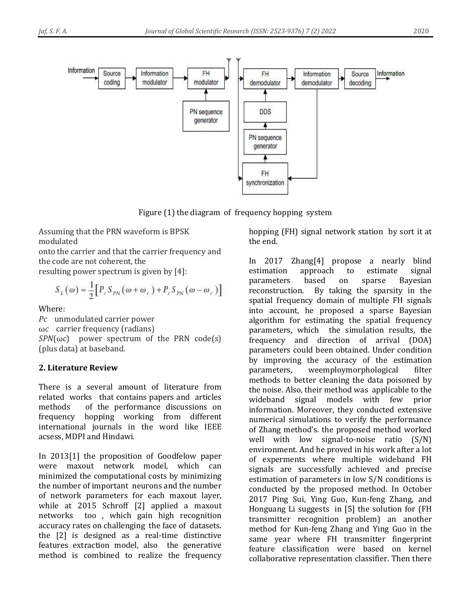

Figure (1) the diagram of frequency hopping system

Assuming that the PRN waveform is BPSK modulated

onto the carrier and that the carrier frequency and the code are not coherent, the

resulting power spectrum is given by [4]:

$$
S_L(\omega) = \frac{1}{2} \Big[ P_c S_{PN} (\omega + \omega_c) + P_c S_{PN} (\omega - \omega_c) \Big]
$$

Where:

*Pc* unmodulated carrier power ω*c* carrier frequency (radians)  $SPN(\omega c)$  power spectrum of the PRN code(s) (plus data) at baseband.

## **2. Literature Review**

There is a several amount of literature from related works that contains papers and articles methods of the performance discussions on frequency hopping working from different international journals in the word like IEEE acsess, MDPI and Hindawi.

In 2013[1] the proposition of Goodfelow paper were maxout network model, which can minimized the computational costs by minimizing the number of important neurons and the number of network parameters for each maxout layer, while at 2015 Schroff [2] applied a maxout networks too , which gain high recognition accuracy rates on challenging the face of datasets. the [2] is designed as a real-time distinctive features extraction model, also the generative method is combined to realize the frequency

hopping (FH) signal network station by sort it at the end.

In 2017 Zhang[4] propose a nearly blind estimation approach to estimate signal parameters based on sparse Bayesian reconstruction. By taking the sparsity in the spatial frequency domain of multiple FH signals into account, he proposed a sparse Bayesian algorithm for estimating the spatial frequency parameters, which the simulation results, the frequency and direction of arrival (DOA) parameters could been obtained. Under condition by improving the accuracy of the estimation parameters, weemploymorphological filter methods to better cleaning the data poisoned by the noise. Also, their method was applicable to the wideband signal models with few prior information. Moreover, they conducted extensive numerical simulations to verify the performance of Zhang method's. the proposed method worked well with low signal-to-noise ratio (S/N) environment. And he proved in his work after a lot of experments where multiple wideband FH signals are successfully achieved and precise estimation of parameters in low S/N conditions is conducted by the proposed method. In October 2017 Ping Sui, Ying Guo, Kun-feng Zhang, and Honguang Li suggests in [5] the solution for (FH transmitter recognition problem) an another method for Kun-feng Zhang and Ying Guo in the same year where FH transmitter fingerprint feature classification were based on kernel collaborative representation classifier. Then there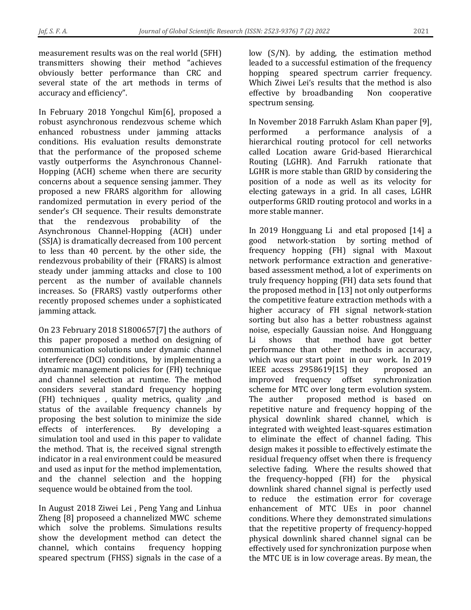measurement results was on the real world (5FH) transmitters showing their method "achieves obviously better performance than CRC and several state of the art methods in terms of accuracy and efficiency".

In February 2018 Yongchul Kim[6], proposed a robust asynchronous rendezvous scheme which enhanced robustness under jamming attacks conditions. His evaluation results demonstrate that the performance of the proposed scheme vastly outperforms the Asynchronous Channel-Hopping (ACH) scheme when there are security concerns about a sequence sensing jammer. They proposed a new FRARS algorithm for allowing randomized permutation in every period of the sender's CH sequence. Their results demonstrate that the rendezvous probability of the Asynchronous Channel-Hopping (ACH) under (SSJA) is dramatically decreased from 100 percent to less than 40 percent. by the other side, the rendezvous probability of their (FRARS) is almost steady under jamming attacks and close to 100 percent as the number of available channels increases. So (FRARS) vastly outperforms other recently proposed schemes under a sophisticated jamming attack.

On 23 February 2018 S1800657[7] the authors of this paper proposed a method on designing of communication solutions under dynamic channel interference (DCI) conditions, by implementing a dynamic management policies for (FH) technique and channel selection at runtime. The method considers several standard frequency hopping (FH) techniques , quality metrics, quality ,and status of the available frequency channels by proposing the best solution to minimize the side effects of interferences. By developing a simulation tool and used in this paper to validate the method. That is, the received signal strength indicator in a real environment could be measured and used as input for the method implementation, and the channel selection and the hopping sequence would be obtained from the tool.

In August 2018 Ziwei Lei , Peng Yang and Linhua Zheng [8] proposeed a channelized MWC scheme which solve the problems. Simulations results show the development method can detect the channel, which contains frequency hopping speared spectrum (FHSS) signals in the case of a low (S/N). by adding, the estimation method leaded to a successful estimation of the frequency hopping speared spectrum carrier frequency. Which Ziwei Lei's results that the method is also effective by broadbanding Non cooperative spectrum sensing.

In November 2018 Farrukh Aslam Khan paper [9], performed a performance analysis of a hierarchical routing protocol for cell networks called Location aware Grid-based Hierarchical Routing (LGHR). And Farrukh rationate that LGHR is more stable than GRID by considering the position of a node as well as its velocity for electing gateways in a grid. In all cases, LGHR outperforms GRID routing protocol and works in a more stable manner.

In 2019 Hongguang Li and etal proposed [14] a good network-station by sorting method of frequency hopping (FH) signal with Maxout network performance extraction and generativebased assessment method, a lot of experiments on truly frequency hopping (FH) data sets found that the proposed method in [13] not only outperforms the competitive feature extraction methods with a higher accuracy of FH signal network-station sorting but also has a better robustness against noise, especially Gaussian noise. And Hongguang Li shows that method have got better performance than other methods in accuracy, which was our start point in our work. In 2019 IEEE access 2958619[15] they proposed an improved frequency offset synchronization scheme for MTC over long term evolution system. The auther proposed method is based on repetitive nature and frequency hopping of the physical downlink shared channel, which is integrated with weighted least-squares estimation to eliminate the effect of channel fading. This design makes it possible to effectively estimate the residual frequency offset when there is frequency selective fading. Where the results showed that the frequency-hopped (FH) for the physical downlink shared channel signal is perfectly used to reduce the estimation error for coverage enhancement of MTC UEs in poor channel conditions. Where they demonstrated simulations that the repetitive property of frequency-hopped physical downlink shared channel signal can be effectively used for synchronization purpose when the MTC UE is in low coverage areas. By mean, the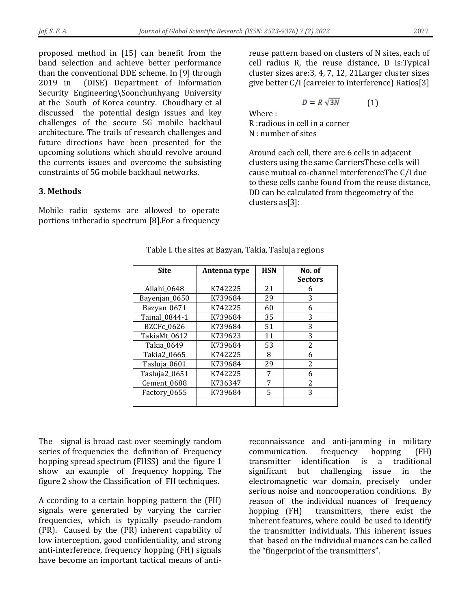proposed method in [15] can benefit from the band selection and achieve better performance than the conventional DDE scheme. In [9] through 2019 in (DISE) Department of Information Security Engineering\Soonchunhyang University at the South of Korea country. Choudhary et al discussed the potential design issues and key challenges of the secure 5G mobile backhaul architecture. The trails of research challenges and future directions have been presented for the upcoming solutions which should revolve around the currents issues and overcome the subsisting constraints of 5G mobile backhaul networks.

## **3. Methods**

Mobile radio systems are allowed to operate portions intheradio spectrum [8].For a frequency reuse pattern based on clusters of N sites, each of cell radius R, the reuse distance, D is:Typical cluster sizes are:3, 4, 7, 12, 21Larger cluster sizes give better C/I (carreier to interference) Ratios[3]

$$
D = R\sqrt{3N} \tag{1}
$$

Where : R :radious in cell in a corner N : number of sites

Around each cell, there are 6 cells in adjacent clusters using the same CarriersThese cells will cause mutual co-channel interferenceThe C/I due to these cells canbe found from the reuse distance, DD can be calculated from thegeometry of the clusters as[3]:

| <b>Site</b>   | Antenna type | <b>HSN</b> | No. of         |
|---------------|--------------|------------|----------------|
|               |              |            | <b>Sectors</b> |
| Allahi_0648   | K742225      | 21         | 6              |
| Bayenjan_0650 | K739684      | 29         | 3              |
| Bazyan_0671   | K742225      | 60         | 6              |
| Tainal_0844-1 | K739684      | 35         | 3              |
| BZCFc_0626    | K739684      | 51         | 3              |
| TakiaMt_0612  | K739623      | 11         | 3              |
| Takia_0649    | K739684      | 53         | 2              |
| Takia2_0665   | K742225      | 8          | 6              |
| Tasluja_0601  | K739684      | 29         | $\overline{2}$ |
| Tasluja2_0651 | K742225      | 7          | 6              |
| Cement_0688   | K736347      | 7          | 2              |
| Factory_0655  | K739684      | 5          | 3              |
|               |              |            |                |

Table I. the sites at Bazyan, Takia, Tasluja regions

The signal is broad cast over seemingly random series of frequencies the definition of Frequency hopping spread spectrum (FHSS) and the figure 1 show an example of frequency hopping. The figure 2 show the Classification of FH techniques.

A ccording to a certain hopping pattern the (FH) signals were generated by varying the carrier frequencies, which is typically pseudo-random (PR). Caused by the (PR) inherent capability of low interception, good confidentiality, and strong anti-interference, frequency hopping (FH) signals have become an important tactical means of antireconnaissance and anti-jamming in military communication. frequency hopping (FH) transmitter identification is a traditional significant but challenging issue in the electromagnetic war domain, precisely under serious noise and noncooperation conditions. By reason of the individual nuances of frequency hopping (FH) transmitters, there exist the inherent features, where could be used to identify the transmitter individuals. This inherent issues that based on the individual nuances can be called the "fingerprint of the transmitters".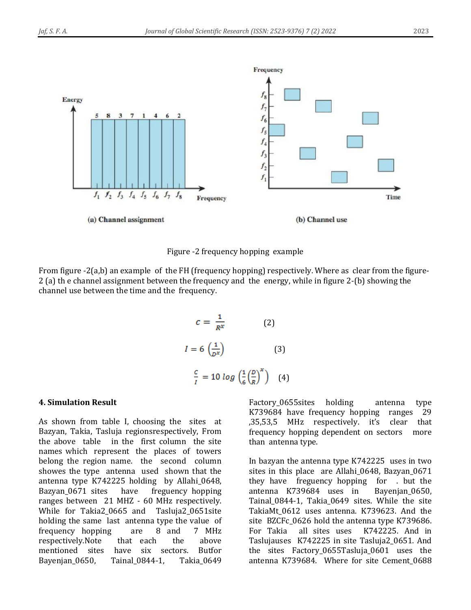

Figure -2 frequency hopping example

From figure -2(a,b) an example of the FH (frequency hopping) respectively. Where as clear from the figure-2 (a) th e channel assignment between the frequency and the energy, while in figure 2-(b) showing the channel use between the time and the frequency.

$$
c = \frac{1}{R^{x}}
$$
 (2)  

$$
I = 6 \left(\frac{1}{D^{x}}\right)
$$
 (3)  

$$
\frac{c}{I} = 10 \log \left(\frac{1}{6} \left(\frac{D}{R}\right)^{x}\right)
$$
 (4)

#### **4. Simulation Result**

As shown from table I, choosing the sites at Bazyan, Takia, Tasluja regionsrespectively, From the above table in the first column the site names which represent the places of towers belong the region name. the second column showes the type antenna used shown that the antenna type K742225 holding by Allahi\_0648, Bazyan\_0671 sites have freguency hopping ranges between 21 MHZ - 60 MHz respectively. While for Takia2\_0665 and Tasluja2\_0651site holding the same last antenna type the value of frequency hopping are 8 and 7 MHz respectively.Note that each the above mentioned sites have six sectors. Butfor Bayenjan\_0650, Tainal\_0844-1, Takia\_0649

Factory\_0655sites holding antenna type K739684 have frequency hopping ranges 29 ,35,53,5 MHz respectively. it's clear that frequency hopping dependent on sectors more than antenna type.

In bazyan the antenna type K742225 uses in two sites in this place are Allahi\_0648, Bazyan\_0671 they have freguency hopping for . but the antenna K739684 uses in Bayenjan\_0650, Tainal\_0844-1, Takia\_0649 sites. While the site TakiaMt\_0612 uses antenna. K739623. And the site BZCFc\_0626 hold the antenna type K739686. For Takia all sites uses K742225. And in Taslujauses K742225 in site Tasluja2\_0651. And the sites Factory\_0655Tasluja\_0601 uses the antenna K739684. Where for site Cement\_0688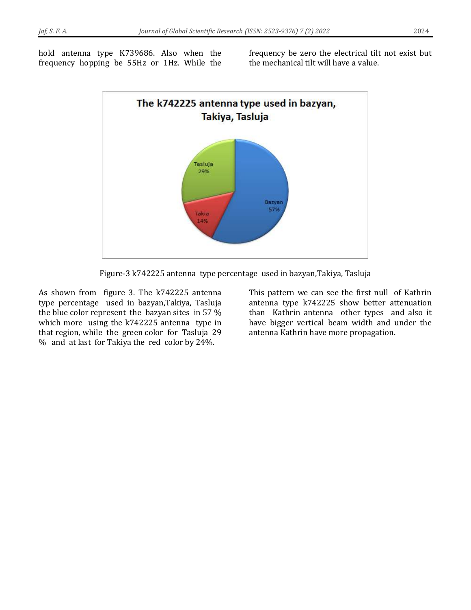hold antenna type K739686. Also when the frequency hopping be 55Hz or 1Hz. While the frequency be zero the electrical tilt not exist but the mechanical tilt will have a value.



Figure-3 k742225 antenna type percentage used in bazyan,Takiya, Tasluja

As shown from figure 3. The k742225 antenna type percentage used in bazyan,Takiya, Tasluja the blue color represent the bazyan sites in 57 % which more using the k742225 antenna type in that region, while the green color for Tasluja 29 % and at last for Takiya the red color by 24%.

This pattern we can see the first null of Kathrin antenna type k742225 show better attenuation than Kathrin antenna other types and also it have bigger vertical beam width and under the antenna Kathrin have more propagation.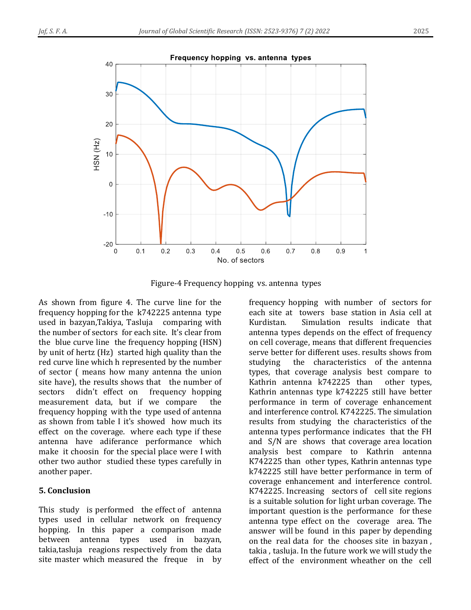

Figure-4 Frequency hopping vs. antenna types

As shown from figure 4. The curve line for the frequency hopping for the k742225 antenna type used in bazyan,Takiya, Tasluja comparing with the number of sectors for each site. It's clear from the blue curve line the frequency hopping (HSN) by unit of hertz (Hz) started high quality than the red curve line which h represented by the number of sector ( means how many antenna the union site have), the results shows that the number of sectors didn't effect on frequency hopping measurement data, but if we compare the frequency hopping with the type used of antenna as shown from table I it's showed how much its effect on the coverage. where each type if these antenna have adiferance performance which make it choosin for the special place were I with other two author studied these types carefully in another paper.

### **5. Conclusion**

This study is performed the effect of antenna types used in cellular network on frequency hopping. In this paper a comparison made between antenna types used in bazyan, takia,tasluja reagions respectively from the data site master which measured the freque in by

frequency hopping with number of sectors for each site at towers base station in Asia cell at Kurdistan. Simulation results indicate that antenna types depends on the effect of frequency on cell coverage, means that different frequencies serve better for different uses. results shows from studying the characteristics of the antenna types, that coverage analysis best compare to Kathrin antenna k742225 than other types, Kathrin antennas type k742225 still have better performance in term of coverage enhancement and interference control. K742225. The simulation results from studying the characteristics of the antenna types performance indicates that the FH and S/N are shows that coverage area location analysis best compare to Kathrin antenna K742225 than other types, Kathrin antennas type k742225 still have better performance in term of coverage enhancement and interference control. K742225. Increasing sectors of cell site regions is a suitable solution for light urban coverage. The important question is the performance for these antenna type effect on the coverage area. The answer will be found in this paper by depending on the real data for the chooses site in bazyan , takia , tasluja. In the future work we will study the effect of the environment wheather on the cell